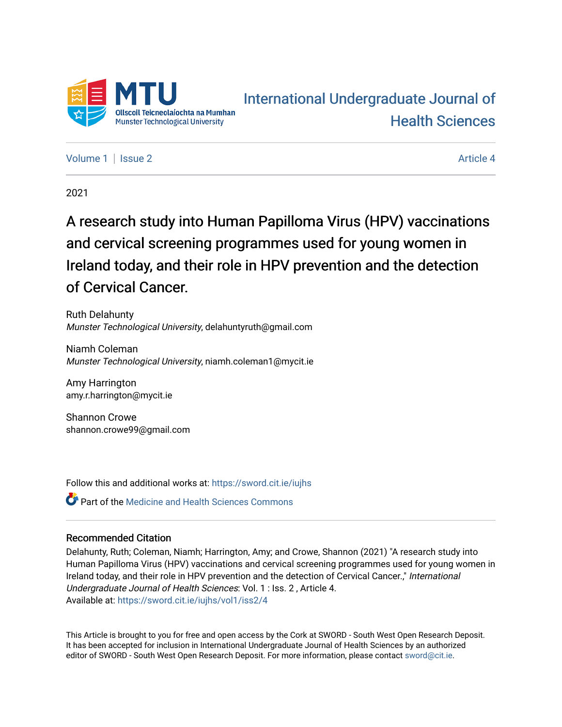

# [International Undergraduate Journal of](https://sword.cit.ie/iujhs)  [Health Sciences](https://sword.cit.ie/iujhs)

[Volume 1](https://sword.cit.ie/iujhs/vol1) | [Issue 2](https://sword.cit.ie/iujhs/vol1/iss2) Article 4

2021

# A research study into Human Papilloma Virus (HPV) vaccinations and cervical screening programmes used for young women in Ireland today, and their role in HPV prevention and the detection of Cervical Cancer.

Ruth Delahunty Munster Technological University, delahuntyruth@gmail.com

Niamh Coleman Munster Technological University, niamh.coleman1@mycit.ie

Amy Harrington amy.r.harrington@mycit.ie

Shannon Crowe shannon.crowe99@gmail.com

Follow this and additional works at: [https://sword.cit.ie/iujhs](https://sword.cit.ie/iujhs?utm_source=sword.cit.ie%2Fiujhs%2Fvol1%2Fiss2%2F4&utm_medium=PDF&utm_campaign=PDFCoverPages) 

**C** Part of the Medicine and Health Sciences Commons

# Recommended Citation

Delahunty, Ruth; Coleman, Niamh; Harrington, Amy; and Crowe, Shannon (2021) "A research study into Human Papilloma Virus (HPV) vaccinations and cervical screening programmes used for young women in Ireland today, and their role in HPV prevention and the detection of Cervical Cancer.," International Undergraduate Journal of Health Sciences: Vol. 1 : Iss. 2 , Article 4. Available at: [https://sword.cit.ie/iujhs/vol1/iss2/4](https://sword.cit.ie/iujhs/vol1/iss2/4?utm_source=sword.cit.ie%2Fiujhs%2Fvol1%2Fiss2%2F4&utm_medium=PDF&utm_campaign=PDFCoverPages) 

This Article is brought to you for free and open access by the Cork at SWORD - South West Open Research Deposit. It has been accepted for inclusion in International Undergraduate Journal of Health Sciences by an authorized editor of SWORD - South West Open Research Deposit. For more information, please contact [sword@cit.ie](mailto:sword@cit.ie).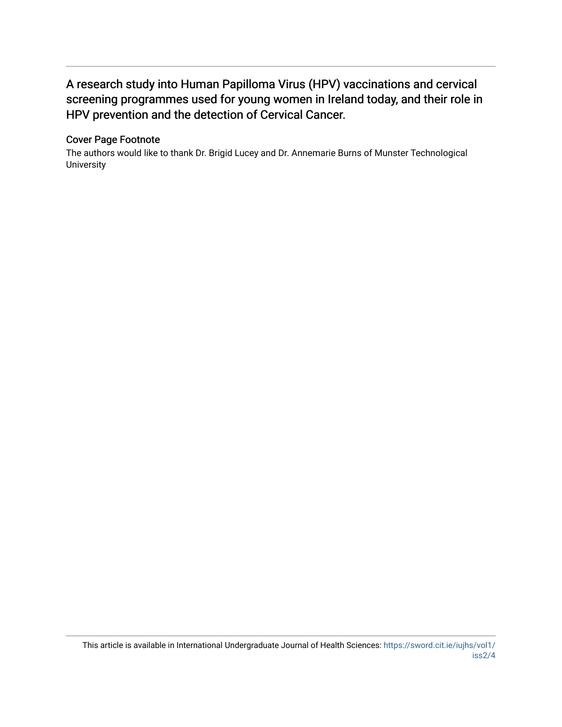# A research study into Human P apilloma Virus (HPV) vaccinations and cervical screening programmes used for young women in Ireland today, and their role in HPV prevention and the detection of Cervical Cancer.

# Cover Page Footnote

The authors would like to thank Dr. Brigid Lucey and Dr. Annemarie Burns of Munster Technological **University**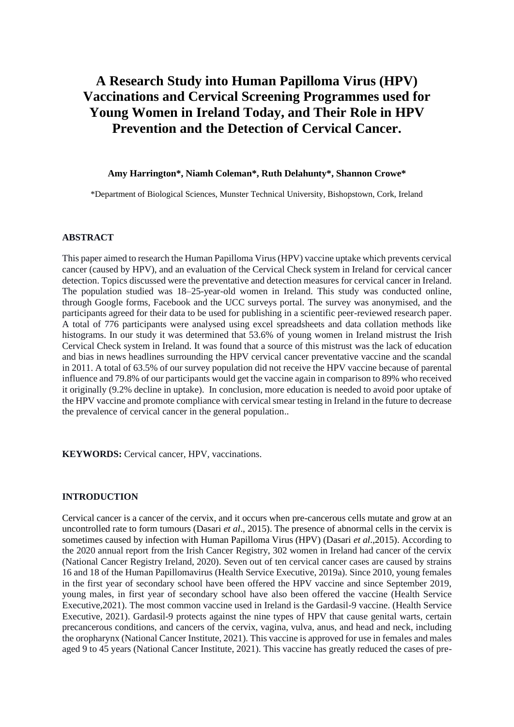# **A Research Study into Human Papilloma Virus (HPV) Vaccinations and Cervical Screening Programmes used for Young Women in Ireland Today, and Their Role in HPV Prevention and the Detection of Cervical Cancer.**

### **Amy Harrington\*, Niamh Coleman\*, Ruth Delahunty\*, Shannon Crowe\***

\*Department of Biological Sciences, Munster Technical University, Bishopstown, Cork, Ireland

#### **ABSTRACT**

This paper aimed to research the Human Papilloma Virus (HPV) vaccine uptake which prevents cervical cancer (caused by HPV), and an evaluation of the Cervical Check system in Ireland for cervical cancer detection. Topics discussed were the preventative and detection measures for cervical cancer in Ireland. The population studied was 18–25-year-old women in Ireland. This study was conducted online, through Google forms, Facebook and the UCC surveys portal. The survey was anonymised, and the participants agreed for their data to be used for publishing in a scientific peer-reviewed research paper. A total of 776 participants were analysed using excel spreadsheets and data collation methods like histograms. In our study it was determined that 53.6% of young women in Ireland mistrust the Irish Cervical Check system in Ireland. It was found that a source of this mistrust was the lack of education and bias in news headlines surrounding the HPV cervical cancer preventative vaccine and the scandal in 2011. A total of 63.5% of our survey population did not receive the HPV vaccine because of parental influence and 79.8% of our participants would get the vaccine again in comparison to 89% who received it originally (9.2% decline in uptake). In conclusion, more education is needed to avoid poor uptake of the HPV vaccine and promote compliance with cervical smear testing in Ireland in the future to decrease the prevalence of cervical cancer in the general population..

**KEYWORDS:** Cervical cancer, HPV, vaccinations.

#### **INTRODUCTION**

Cervical cancer is a cancer of the cervix, and it occurs when pre-cancerous cells mutate and grow at an uncontrolled rate to form tumours (Dasari *et al*., 2015). The presence of abnormal cells in the cervix is sometimes caused by infection with Human Papilloma Virus (HPV) (Dasari *et al*.,2015). According to the 2020 annual report from the Irish Cancer Registry, 302 women in Ireland had cancer of the cervix (National Cancer Registry Ireland, 2020). Seven out of ten cervical cancer cases are caused by strains 16 and 18 of the Human Papillomavirus (Health Service Executive, 2019a). Since 2010, young females in the first year of secondary school have been offered the HPV vaccine and since September 2019, young males, in first year of secondary school have also been offered the vaccine (Health Service Executive,2021). The most common vaccine used in Ireland is the Gardasil-9 vaccine. (Health Service Executive, 2021). Gardasil-9 protects against the nine types of HPV that cause genital warts, certain precancerous conditions, and cancers of the cervix, vagina, vulva, anus, and head and neck, including the oropharynx (National Cancer Institute, 2021). This vaccine is approved for use in females and males aged 9 to 45 years (National Cancer Institute, 2021). This vaccine has greatly reduced the cases of pre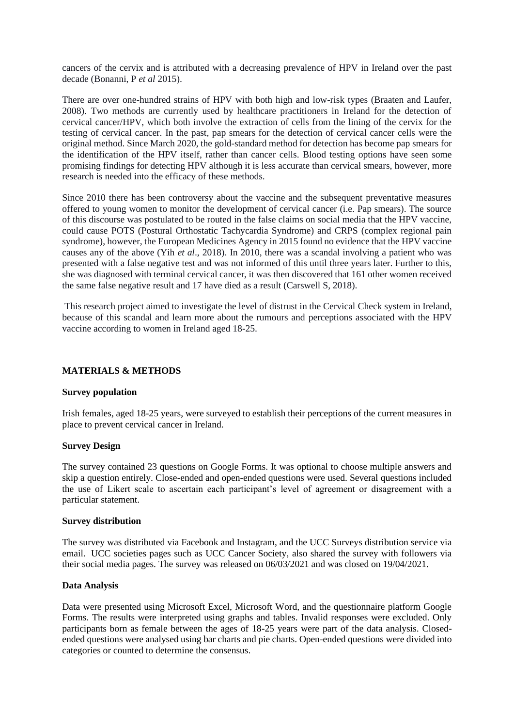cancers of the cervix and is attributed with a decreasing prevalence of HPV in Ireland over the past decade (Bonanni, P *et al* 2015).

There are over one-hundred strains of HPV with both high and low-risk types (Braaten and Laufer, 2008). Two methods are currently used by healthcare practitioners in Ireland for the detection of cervical cancer/HPV, which both involve the extraction of cells from the lining of the cervix for the testing of cervical cancer. In the past, pap smears for the detection of cervical cancer cells were the original method. Since March 2020, the gold-standard method for detection has become pap smears for the identification of the HPV itself, rather than cancer cells. Blood testing options have seen some promising findings for detecting HPV although it is less accurate than cervical smears, however, more research is needed into the efficacy of these methods.

Since 2010 there has been controversy about the vaccine and the subsequent preventative measures offered to young women to monitor the development of cervical cancer (i.e. Pap smears). The source of this discourse was postulated to be routed in the false claims on social media that the HPV vaccine, could cause POTS (Postural Orthostatic Tachycardia Syndrome) and CRPS (complex regional pain syndrome), however, the European Medicines Agency in 2015 found no evidence that the HPV vaccine causes any of the above (Yih *et al*., 2018). In 2010, there was a scandal involving a patient who was presented with a false negative test and was not informed of this until three years later. Further to this, she was diagnosed with terminal cervical cancer, it was then discovered that 161 other women received the same false negative result and 17 have died as a result (Carswell S, 2018).

This research project aimed to investigate the level of distrust in the Cervical Check system in Ireland, because of this scandal and learn more about the rumours and perceptions associated with the HPV vaccine according to women in Ireland aged 18-25.

# **MATERIALS & METHODS**

#### **Survey population**

Irish females, aged 18-25 years, were surveyed to establish their perceptions of the current measures in place to prevent cervical cancer in Ireland.

#### **Survey Design**

The survey contained 23 questions on Google Forms. It was optional to choose multiple answers and skip a question entirely. Close-ended and open-ended questions were used. Several questions included the use of Likert scale to ascertain each participant's level of agreement or disagreement with a particular statement.

#### **Survey distribution**

The survey was distributed via Facebook and Instagram, and the UCC Surveys distribution service via email. UCC societies pages such as UCC Cancer Society, also shared the survey with followers via their social media pages. The survey was released on 06/03/2021 and was closed on 19/04/2021.

#### **Data Analysis**

Data were presented using Microsoft Excel, Microsoft Word, and the questionnaire platform Google Forms. The results were interpreted using graphs and tables. Invalid responses were excluded. Only participants born as female between the ages of 18-25 years were part of the data analysis. Closedended questions were analysed using bar charts and pie charts. Open-ended questions were divided into categories or counted to determine the consensus.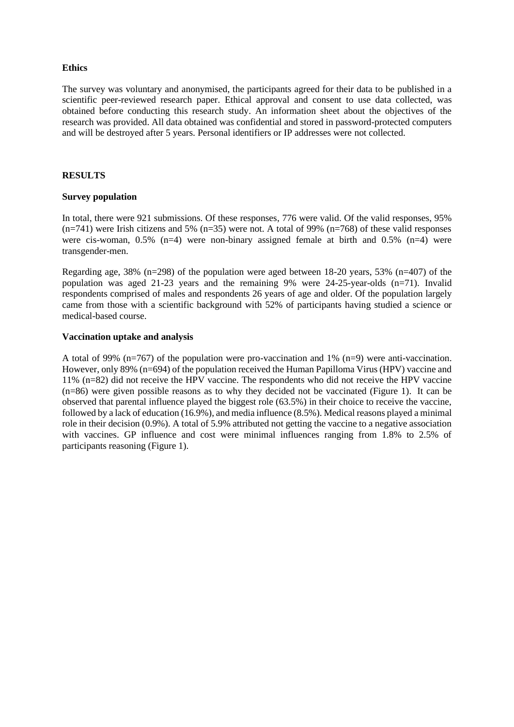# **Ethics**

The survey was voluntary and anonymised, the participants agreed for their data to be published in a scientific peer-reviewed research paper. Ethical approval and consent to use data collected, was obtained before conducting this research study. An information sheet about the objectives of the research was provided. All data obtained was confidential and stored in password-protected computers and will be destroyed after 5 years. Personal identifiers or IP addresses were not collected.

# **RESULTS**

# **Survey population**

In total, there were 921 submissions. Of these responses, 776 were valid. Of the valid responses, 95%  $(n=741)$  were Irish citizens and 5%  $(n=35)$  were not. A total of 99%  $(n=768)$  of these valid responses were cis-woman,  $0.5\%$  (n=4) were non-binary assigned female at birth and  $0.5\%$  (n=4) were transgender-men.

Regarding age, 38% (n=298) of the population were aged between 18-20 years, 53% (n=407) of the population was aged 21-23 years and the remaining 9% were 24-25-year-olds (n=71). Invalid respondents comprised of males and respondents 26 years of age and older. Of the population largely came from those with a scientific background with 52% of participants having studied a science or medical-based course.

# **Vaccination uptake and analysis**

A total of 99% (n=767) of the population were pro-vaccination and 1% (n=9) were anti-vaccination. However, only 89% (n=694) of the population received the Human Papilloma Virus (HPV) vaccine and 11% (n=82) did not receive the HPV vaccine. The respondents who did not receive the HPV vaccine (n=86) were given possible reasons as to why they decided not be vaccinated (Figure 1). It can be observed that parental influence played the biggest role (63.5%) in their choice to receive the vaccine, followed by a lack of education  $(16.9\%)$ , and media influence  $(8.5\%)$ . Medical reasons played a minimal role in their decision (0.9%). A total of 5.9% attributed not getting the vaccine to a negative association with vaccines. GP influence and cost were minimal influences ranging from 1.8% to 2.5% of participants reasoning (Figure 1).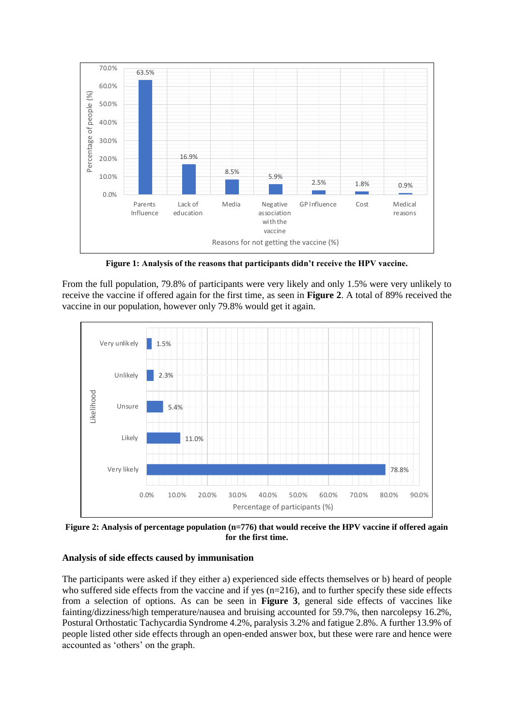

**Figure 1: Analysis of the reasons that participants didn't receive the HPV vaccine.**

From the full population, 79.8% of participants were very likely and only 1.5% were very unlikely to receive the vaccine if offered again for the first time, as seen in **Figure 2**. A total of 89% received the vaccine in our population, however only 79.8% would get it again.



**Figure 2: Analysis of percentage population (n=776) that would receive the HPV vaccine if offered again for the first time.**

# **Analysis of side effects caused by immunisation**

The participants were asked if they either a) experienced side effects themselves or b) heard of people who suffered side effects from the vaccine and if yes (n=216), and to further specify these side effects from a selection of options. As can be seen in **Figure 3**, general side effects of vaccines like fainting/dizziness/high temperature/nausea and bruising accounted for 59.7%, then narcolepsy 16.2%, Postural Orthostatic Tachycardia Syndrome 4.2%, paralysis 3.2% and fatigue 2.8%. A further 13.9% of people listed other side effects through an open-ended answer box, but these were rare and hence were accounted as 'others' on the graph.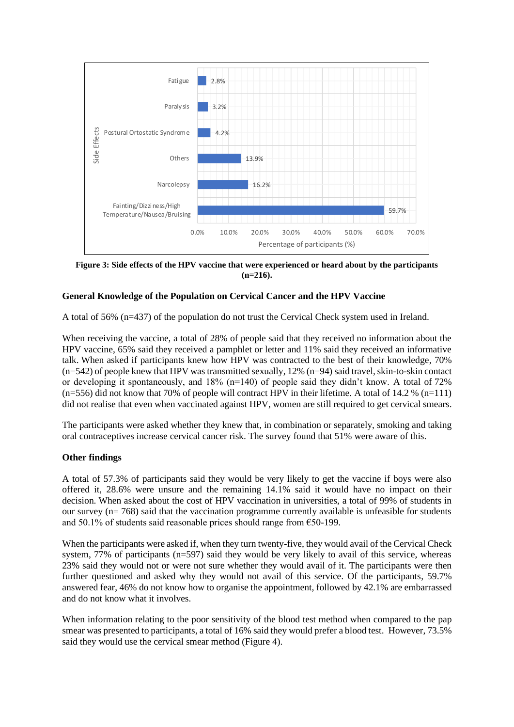

**Figure 3: Side effects of the HPV vaccine that were experienced or heard about by the participants (n=216).**

# **General Knowledge of the Population on Cervical Cancer and the HPV Vaccine**

A total of 56% (n=437) of the population do not trust the Cervical Check system used in Ireland.

When receiving the vaccine, a total of 28% of people said that they received no information about the HPV vaccine, 65% said they received a pamphlet or letter and 11% said they received an informative talk. When asked if participants knew how HPV was contracted to the best of their knowledge, 70% (n=542) of people knew that HPV was transmitted sexually, 12% (n=94) said travel, skin-to-skin contact or developing it spontaneously, and 18% (n=140) of people said they didn't know. A total of 72%  $(n=556)$  did not know that 70% of people will contract HPV in their lifetime. A total of 14.2 %  $(n=111)$ did not realise that even when vaccinated against HPV, women are still required to get cervical smears.

The participants were asked whether they knew that, in combination or separately, smoking and taking oral contraceptives increase cervical cancer risk. The survey found that 51% were aware of this.

# **Other findings**

A total of 57.3% of participants said they would be very likely to get the vaccine if boys were also offered it, 28.6% were unsure and the remaining 14.1% said it would have no impact on their decision. When asked about the cost of HPV vaccination in universities, a total of 99% of students in our survey (n= 768) said that the vaccination programme currently available is unfeasible for students and 50.1% of students said reasonable prices should range from  $\epsilon$ 50-199.

When the participants were asked if, when they turn twenty-five, they would avail of the Cervical Check system, 77% of participants (n=597) said they would be very likely to avail of this service, whereas 23% said they would not or were not sure whether they would avail of it. The participants were then further questioned and asked why they would not avail of this service. Of the participants, 59.7% answered fear, 46% do not know how to organise the appointment, followed by 42.1% are embarrassed and do not know what it involves.

When information relating to the poor sensitivity of the blood test method when compared to the pap smear was presented to participants, a total of 16% said they would prefer a blood test. However, 73.5% said they would use the cervical smear method (Figure 4).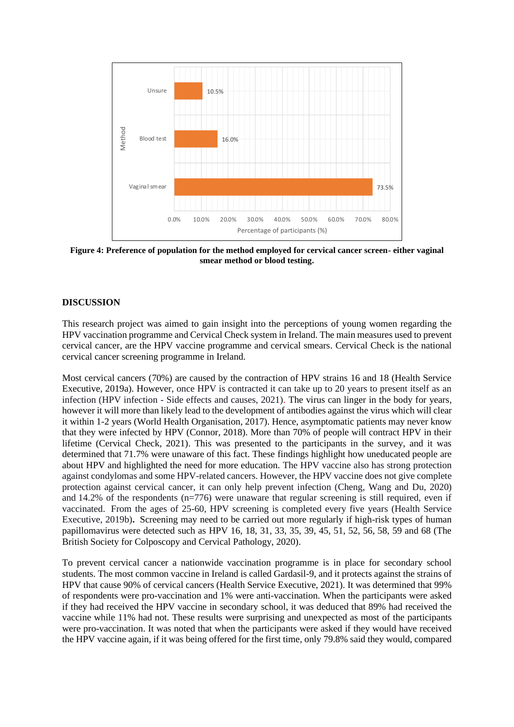

**Figure 4: Preference of population for the method employed for cervical cancer screen- either vaginal smear method or blood testing.**

# **DISCUSSION**

This research project was aimed to gain insight into the perceptions of young women regarding the HPV vaccination programme and Cervical Check system in Ireland. The main measures used to prevent cervical cancer, are the HPV vaccine programme and cervical smears. Cervical Check is the national cervical cancer screening programme in Ireland.

Most cervical cancers (70%) are caused by the contraction of HPV strains 16 and 18 (Health Service Executive, 2019a). However, once HPV is contracted it can take up to 20 years to present itself as an infection (HPV infection - Side effects and causes, 2021). The virus can linger in the body for years, however it will more than likely lead to the development of antibodies against the virus which will clear it within 1-2 years (World Health Organisation, 2017). Hence, asymptomatic patients may never know that they were infected by HPV (Connor, 2018). More than 70% of people will contract HPV in their lifetime (Cervical Check, 2021). This was presented to the participants in the survey, and it was determined that 71.7% were unaware of this fact. These findings highlight how uneducated people are about HPV and highlighted the need for more education. The HPV vaccine also has strong protection against condylomas and some HPV-related cancers. However, the HPV vaccine does not give complete protection against cervical cancer, it can only help prevent infection (Cheng, Wang and Du, 2020) and 14.2% of the respondents (n=776) were unaware that regular screening is still required, even if vaccinated. From the ages of 25-60, HPV screening is completed every five years (Health Service Executive, 2019b)**.** Screening may need to be carried out more regularly if high-risk types of human papillomavirus were detected such as HPV 16, 18, 31, 33, 35, 39, 45, 51, 52, 56, 58, 59 and 68 (The British Society for Colposcopy and Cervical Pathology, 2020).

To prevent cervical cancer a nationwide vaccination programme is in place for secondary school students. The most common vaccine in Ireland is called Gardasil-9, and it protects against the strains of HPV that cause 90% of cervical cancers (Health Service Executive, 2021). It was determined that 99% of respondents were pro-vaccination and 1% were anti-vaccination. When the participants were asked if they had received the HPV vaccine in secondary school, it was deduced that 89% had received the vaccine while 11% had not. These results were surprising and unexpected as most of the participants were pro-vaccination. It was noted that when the participants were asked if they would have received the HPV vaccine again, if it was being offered for the first time, only 79.8% said they would, compared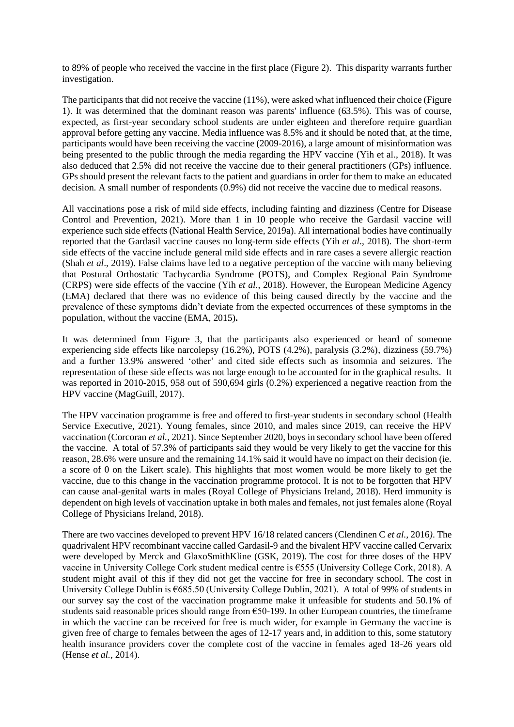to 89% of people who received the vaccine in the first place (Figure 2). This disparity warrants further investigation.

The participants that did not receive the vaccine (11%), were asked what influenced their choice (Figure 1). It was determined that the dominant reason was parents' influence (63.5%). This was of course, expected, as first-year secondary school students are under eighteen and therefore require guardian approval before getting any vaccine. Media influence was 8.5% and it should be noted that, at the time, participants would have been receiving the vaccine (2009-2016), a large amount of misinformation was being presented to the public through the media regarding the HPV vaccine (Yih et al., 2018). It was also deduced that 2.5% did not receive the vaccine due to their general practitioners (GPs) influence. GPs should present the relevant facts to the patient and guardians in order for them to make an educated decision. A small number of respondents (0.9%) did not receive the vaccine due to medical reasons.

All vaccinations pose a risk of mild side effects, including fainting and dizziness (Centre for Disease Control and Prevention, 2021). More than 1 in 10 people who receive the Gardasil vaccine will experience such side effects (National Health Service, 2019a). All international bodies have continually reported that the Gardasil vaccine causes no long-term side effects (Yih *et al*., 2018). The short-term side effects of the vaccine include general mild side effects and in rare cases a severe allergic reaction (Shah *et al*., 2019). False claims have led to a negative perception of the vaccine with many believing that Postural Orthostatic Tachycardia Syndrome (POTS), and Complex Regional Pain Syndrome (CRPS) were side effects of the vaccine (Yih *et al.*, 2018). However, the European Medicine Agency (EMA) declared that there was no evidence of this being caused directly by the vaccine and the prevalence of these symptoms didn't deviate from the expected occurrences of these symptoms in the population, without the vaccine (EMA, 2015)**.** 

It was determined from Figure 3, that the participants also experienced or heard of someone experiencing side effects like narcolepsy (16.2%), POTS (4.2%), paralysis (3.2%), dizziness (59.7%) and a further 13.9% answered 'other' and cited side effects such as insomnia and seizures. The representation of these side effects was not large enough to be accounted for in the graphical results. It was reported in 2010-2015, 958 out of 590,694 girls (0.2%) experienced a negative reaction from the HPV vaccine (MagGuill, 2017).

The HPV vaccination programme is free and offered to first-year students in secondary school (Health Service Executive, 2021). Young females, since 2010, and males since 2019, can receive the HPV vaccination (Corcoran *et al.,* 2021). Since September 2020, boys in secondary school have been offered the vaccine. A total of 57.3% of participants said they would be very likely to get the vaccine for this reason, 28.6% were unsure and the remaining 14.1% said it would have no impact on their decision (ie. a score of 0 on the Likert scale). This highlights that most women would be more likely to get the vaccine, due to this change in the vaccination programme protocol. It is not to be forgotten that HPV can cause anal-genital warts in males (Royal College of Physicians Ireland, 2018). Herd immunity is dependent on high levels of vaccination uptake in both males and females, not just females alone (Royal College of Physicians Ireland, 2018).

There are two vaccines developed to prevent HPV 16/18 related cancers (Clendinen C *et al.,* 2016*)*. The quadrivalent HPV recombinant vaccine called Gardasil-9 and the bivalent HPV vaccine called Cervarix were developed by Merck and GlaxoSmithKline (GSK, 2019). The cost for three doses of the HPV vaccine in University College Cork student medical centre is €555 (University College Cork, 2018). A student might avail of this if they did not get the vaccine for free in secondary school. The cost in University College Dublin is €685.50 (University College Dublin, 2021). A total of 99% of students in our survey say the cost of the vaccination programme make it unfeasible for students and 50.1% of students said reasonable prices should range from  $\epsilon$ 50-199. In other European countries, the timeframe in which the vaccine can be received for free is much wider, for example in Germany the vaccine is given free of charge to females between the ages of 12-17 years and, in addition to this, some statutory health insurance providers cover the complete cost of the vaccine in females aged 18-26 years old (Hense *et al.*, 2014).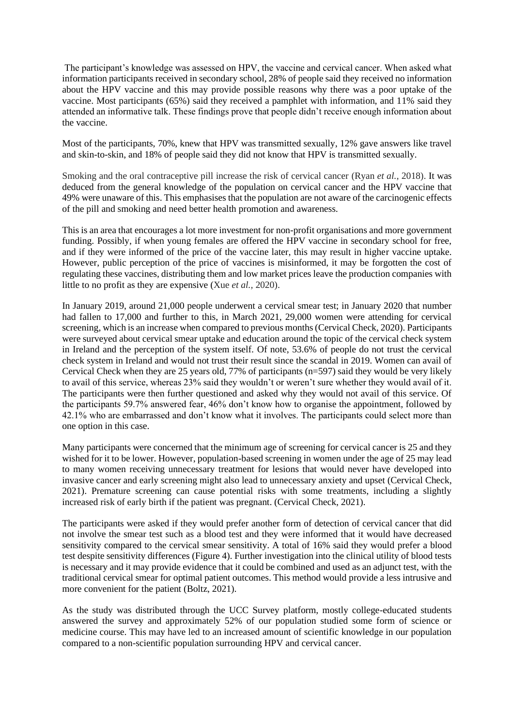The participant's knowledge was assessed on HPV, the vaccine and cervical cancer. When asked what information participants received in secondary school, 28% of people said they received no information about the HPV vaccine and this may provide possible reasons why there was a poor uptake of the vaccine. Most participants (65%) said they received a pamphlet with information, and 11% said they attended an informative talk. These findings prove that people didn't receive enough information about the vaccine.

Most of the participants, 70%, knew that HPV was transmitted sexually, 12% gave answers like travel and skin-to-skin, and 18% of people said they did not know that HPV is transmitted sexually.

Smoking and the oral contraceptive pill increase the risk of cervical cancer (Ryan *et al.,* 2018). It was deduced from the general knowledge of the population on cervical cancer and the HPV vaccine that 49% were unaware of this. This emphasises that the population are not aware of the carcinogenic effects of the pill and smoking and need better health promotion and awareness.

This is an area that encourages a lot more investment for non-profit organisations and more government funding. Possibly, if when young females are offered the HPV vaccine in secondary school for free, and if they were informed of the price of the vaccine later, this may result in higher vaccine uptake. However, public perception of the price of vaccines is misinformed, it may be forgotten the cost of regulating these vaccines, distributing them and low market prices leave the production companies with little to no profit as they are expensive (Xue *et al.,* 2020).

In January 2019, around 21,000 people underwent a cervical smear test; in January 2020 that number had fallen to 17,000 and further to this, in March 2021, 29,000 women were attending for cervical screening, which is an increase when compared to previous months (Cervical Check, 2020). Participants were surveyed about cervical smear uptake and education around the topic of the cervical check system in Ireland and the perception of the system itself. Of note, 53.6% of people do not trust the cervical check system in Ireland and would not trust their result since the scandal in 2019. Women can avail of Cervical Check when they are 25 years old, 77% of participants (n=597) said they would be very likely to avail of this service, whereas 23% said they wouldn't or weren't sure whether they would avail of it. The participants were then further questioned and asked why they would not avail of this service. Of the participants 59.7% answered fear, 46% don't know how to organise the appointment, followed by 42.1% who are embarrassed and don't know what it involves. The participants could select more than one option in this case.

Many participants were concerned that the minimum age of screening for cervical cancer is 25 and they wished for it to be lower. However, population-based screening in women under the age of 25 may lead to many women receiving unnecessary treatment for lesions that would never have developed into invasive cancer and early screening might also lead to unnecessary anxiety and upset (Cervical Check, 2021). Premature screening can cause potential risks with some treatments, including a slightly increased risk of early birth if the patient was pregnant. (Cervical Check, 2021).

The participants were asked if they would prefer another form of detection of cervical cancer that did not involve the smear test such as a blood test and they were informed that it would have decreased sensitivity compared to the cervical smear sensitivity. A total of 16% said they would prefer a blood test despite sensitivity differences (Figure 4). Further investigation into the clinical utility of blood tests is necessary and it may provide evidence that it could be combined and used as an adjunct test, with the traditional cervical smear for optimal patient outcomes. This method would provide a less intrusive and more convenient for the patient (Boltz, 2021).

As the study was distributed through the UCC Survey platform, mostly college-educated students answered the survey and approximately 52% of our population studied some form of science or medicine course. This may have led to an increased amount of scientific knowledge in our population compared to a non-scientific population surrounding HPV and cervical cancer.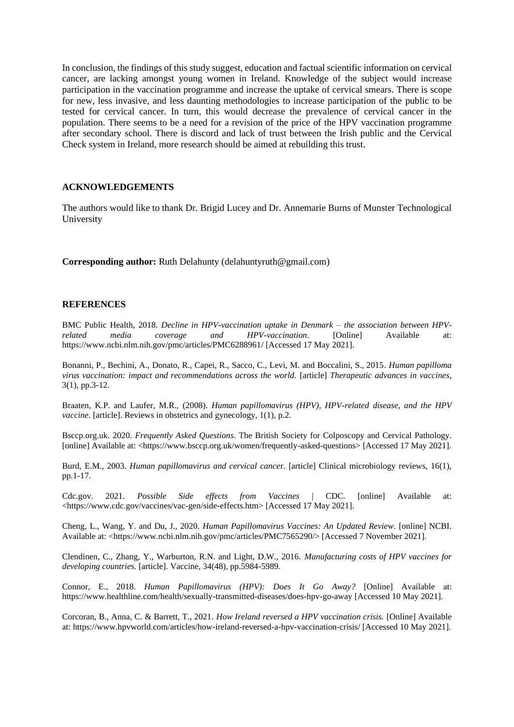In conclusion, the findings of this study suggest, education and factual scientific information on cervical cancer, are lacking amongst young women in Ireland. Knowledge of the subject would increase participation in the vaccination programme and increase the uptake of cervical smears. There is scope for new, less invasive, and less daunting methodologies to increase participation of the public to be tested for cervical cancer. In turn, this would decrease the prevalence of cervical cancer in the population. There seems to be a need for a revision of the price of the HPV vaccination programme after secondary school. There is discord and lack of trust between the Irish public and the Cervical Check system in Ireland, more research should be aimed at rebuilding this trust.

#### **ACKNOWLEDGEMENTS**

The authors would like to thank Dr. Brigid Lucey and Dr. Annemarie Burns of Munster Technological University

**Corresponding author:** Ruth Delahunty (delahuntyruth@gmail.com)

#### **REFERENCES**

BMC Public Health, 2018. *Decline in HPV-vaccination uptake in Denmark – the association between HPVrelated media coverage and HPV-vaccination*. [Online] Available at: https://www.ncbi.nlm.nih.gov/pmc/articles/PMC6288961/ [Accessed 17 May 2021].

Bonanni, P., Bechini, A., Donato, R., Capei, R., Sacco, C., Levi, M. and Boccalini, S., 2015*. Human papilloma virus vaccination: impact and recommendations across the world.* [article] *Therapeutic advances in vaccines*, 3(1), pp.3-12.

Braaten, K.P. and Laufer, M.R., (2008). *Human papillomavirus (HPV), HPV-related disease, and the HPV vaccine*. [article]. Reviews in obstetrics and gynecology, 1(1), p.2.

Bsccp.org.uk. 2020*. Frequently Asked Questions*. The British Society for Colposcopy and Cervical Pathology. [online] Available at: <https://www.bsccp.org.uk/women/frequently-asked-questions> [Accessed 17 May 2021].

Burd, E.M., 2003. *Human papillomavirus and cervical cance*r. [article] Clinical microbiology reviews, 16(1), pp.1-17.

Cdc.gov. 2021. *Possible Side effects from Vaccines* | CDC. [online] Available at: <https://www.cdc.gov/vaccines/vac-gen/side-effects.htm> [Accessed 17 May 2021].

Cheng, L., Wang, Y. and Du, J., 2020. *Human Papillomavirus Vaccines: An Updated Review*. [online] NCBI. Available at: <https://www.ncbi.nlm.nih.gov/pmc/articles/PMC7565290/> [Accessed 7 November 2021].

Clendinen, C., Zhang, Y., Warburton, R.N. and Light, D.W., 2016. *Manufacturing costs of HPV vaccines for developing countrie*s. [article]. Vaccine, 34(48), pp.5984-5989.

Connor, E., 2018. *Human Papillomavirus (HPV): Does It Go Away?* [Online] Available at: https://www.healthline.com/health/sexually-transmitted-diseases/does-hpv-go-away [Accessed 10 May 2021].

Corcoran, B., Anna, C. & Barrett, T., 2021*. How Ireland reversed a HPV vaccination crisis.* [Online] Available at: https://www.hpvworld.com/articles/how-ireland-reversed-a-hpv-vaccination-crisis/ [Accessed 10 May 2021].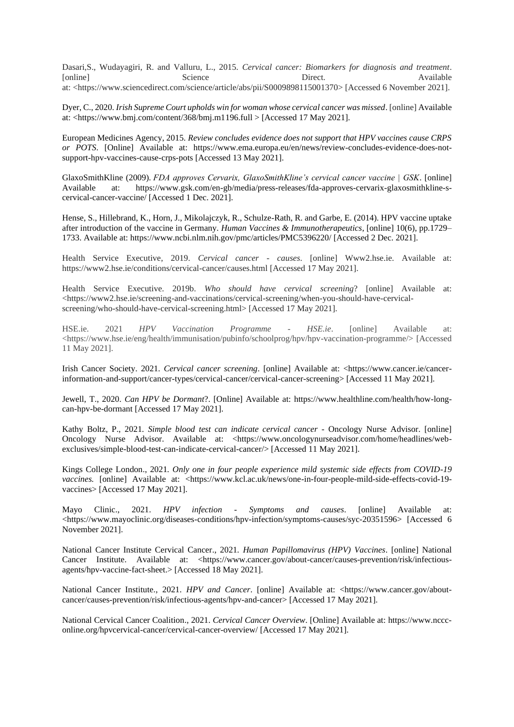Dasari,S., Wudayagiri, R. and Valluru, L., 2015. *Cervical cancer: Biomarkers for diagnosis and treatment*. [online] Science Direct. Available at: <https://www.sciencedirect.com/science/article/abs/pii/S0009898115001370> [Accessed 6 November 2021].

Dyer, C., 2020*. Irish Supreme Court upholds win for woman whose cervical cancer was missed*. [online] Available at: <https://www.bmj.com/content/368/bmj.m1196.full > [Accessed 17 May 2021].

European Medicines Agency, 2015. *Review concludes evidence does not support that HPV vaccines cause CRPS or POTS*. [Online] Available at: https://www.ema.europa.eu/en/news/review-concludes-evidence-does-notsupport-hpv-vaccines-cause-crps-pots [Accessed 13 May 2021].

GlaxoSmithKline (2009). *FDA approves Cervarix, GlaxoSmithKline's cervical cancer vaccine | GSK*. [online] Available at: https://www.gsk.com/en-gb/media/press-releases/fda-approves-cervarix-glaxosmithkline-scervical-cancer-vaccine/ [Accessed 1 Dec. 2021].

Hense, S., Hillebrand, K., Horn, J., Mikolajczyk, R., Schulze-Rath, R. and Garbe, E. (2014). HPV vaccine uptake after introduction of the vaccine in Germany. *Human Vaccines & Immunotherapeutics*, [online] 10(6), pp.1729– 1733. Available at: https://www.ncbi.nlm.nih.gov/pmc/articles/PMC5396220/ [Accessed 2 Dec. 2021].

Health Service Executive, 2019. *Cervical cancer - causes*. [online] Www2.hse.ie. Available at: https://www2.hse.ie/conditions/cervical-cancer/causes.html [Accessed 17 May 2021].

Health Service Executive. 2019b. *Who should have cervical screening*? [online] Available at: <https://www2.hse.ie/screening-and-vaccinations/cervical-screening/when-you-should-have-cervicalscreening/who-should-have-cervical-screening.html> [Accessed 17 May 2021].

HSE.ie. 2021 *HPV Vaccination Programme - HSE.ie*. [online] Available at: <https://www.hse.ie/eng/health/immunisation/pubinfo/schoolprog/hpv/hpv-vaccination-programme/> [Accessed 11 May 2021].

Irish Cancer Society. 2021. *Cervical cancer screening*. [online] Available at: <https://www.cancer.ie/cancerinformation-and-support/cancer-types/cervical-cancer/cervical-cancer-screening> [Accessed 11 May 2021].

Jewell, T., 2020. *Can HPV be Dormant*?. [Online] Available at: https://www.healthline.com/health/how-longcan-hpv-be-dormant [Accessed 17 May 2021].

Kathy Boltz, P., 2021*. Simple blood test can indicate cervical cancer* - Oncology Nurse Advisor. [online] Oncology Nurse Advisor. Available at: <https://www.oncologynurseadvisor.com/home/headlines/webexclusives/simple-blood-test-can-indicate-cervical-cancer/> [Accessed 11 May 2021].

Kings College London., 2021*. Only one in four people experience mild systemic side effects from COVID-19 vaccines.* [online] Available at: <https://www.kcl.ac.uk/news/one-in-four-people-mild-side-effects-covid-19vaccines> [Accessed 17 May 2021].

Mayo Clinic., 2021. *HPV infection - Symptoms and causes*. [online] Available at: <https://www.mayoclinic.org/diseases-conditions/hpv-infection/symptoms-causes/syc-20351596> [Accessed 6 November 2021].

National Cancer Institute Cervical Cancer., 2021*. Human Papillomavirus (HPV) Vaccines*. [online] National Cancer Institute. Available at: <https://www.cancer.gov/about-cancer/causes-prevention/risk/infectiousagents/hpv-vaccine-fact-sheet.> [Accessed 18 May 2021].

National Cancer Institute., 2021. *HPV and Cancer*. [online] Available at: <https://www.cancer.gov/aboutcancer/causes-prevention/risk/infectious-agents/hpv-and-cancer> [Accessed 17 May 2021].

National Cervical Cancer Coalition., 2021. *Cervical Cancer Overview*. [Online] Available at: https://www.nccconline.org/hpvcervical-cancer/cervical-cancer-overview/ [Accessed 17 May 2021].